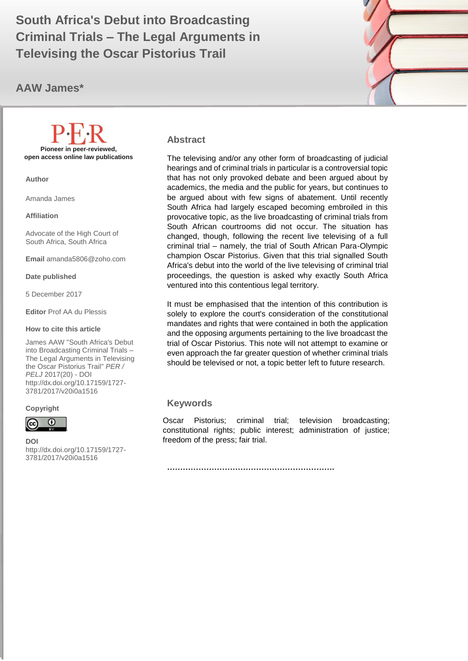# **Criminal Trials – The Legal Arguments in**  $\Box$ **South Africa's Debut into Broadcasting Televising the Oscar Pistorius Trail**

## **AAW James\***



**Pioneer in peer-reviewed, open access online law publications**

**Author**

Amanda James

**Affiliation**

Advocate of the High Court of South Africa, South Africa

**Email** [amanda5806@zoho.com](mailto:amanda5806@zoho.com)

**Date published**

5 December 2017

**Editor** Prof AA du Plessis

#### **How to cite this article**

James AAW "South Africa's Debut into Broadcasting Criminal Trials – The Legal Arguments in Televising the Oscar Pistorius Trail" *PER / PELJ* 2017(20) - DOI http://dx.doi.org/10.17159/1727- 3781/2017/v20i0a1516

#### **Copyright**



**DOI** 

http://dx.doi.org/10.17159/1727- 3781/2017/v20i0a1516

.

#### **Abstract**

The televising and/or any other form of broadcasting of judicial hearings and of criminal trials in particular is a controversial topic that has not only provoked debate and been argued about by academics, the media and the public for years, but continues to be argued about with few signs of abatement. Until recently South Africa had largely escaped becoming embroiled in this provocative topic, as the live broadcasting of criminal trials from South African courtrooms did not occur. The situation has changed, though, following the recent live televising of a full criminal trial – namely, the trial of South African Para-Olympic champion Oscar Pistorius. Given that this trial signalled South Africa's debut into the world of the live televising of criminal trial proceedings, the question is asked why exactly South Africa ventured into this contentious legal territory.

It must be emphasised that the intention of this contribution is solely to explore the court's consideration of the constitutional mandates and rights that were contained in both the application and the opposing arguments pertaining to the live broadcast the trial of Oscar Pistorius. This note will not attempt to examine or even approach the far greater question of whether criminal trials should be televised or not, a topic better left to future research.

### **Keywords**

Oscar Pistorius; criminal trial; television broadcasting; constitutional rights; public interest; administration of justice; freedom of the press; fair trial.

**……………………………………………………….**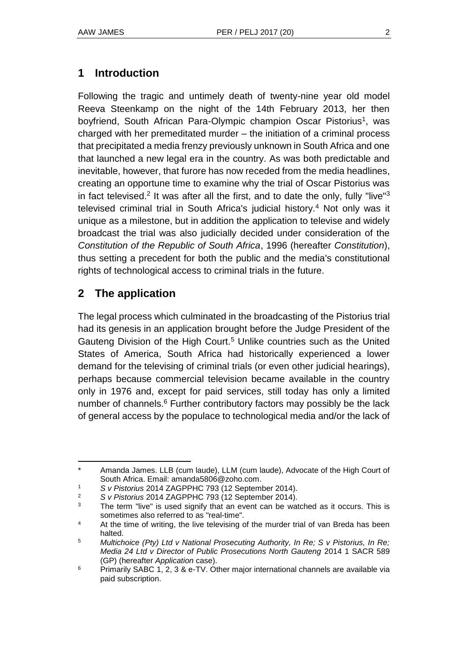### **1 Introduction**

Following the tragic and untimely death of twenty-nine year old model Reeva Steenkamp on the night of the 14th February 2013, her then boyfriend, South African Para-Olympic champion Oscar Pistorius<sup>1</sup>, was charged with her premeditated murder – the initiation of a criminal process that precipitated a media frenzy previously unknown in South Africa and one that launched a new legal era in the country. As was both predictable and inevitable, however, that furore has now receded from the media headlines, creating an opportune time to examine why the trial of Oscar Pistorius was in fact televised.<sup>2</sup> It was after all the first, and to date the only, fully "live"<sup>3</sup> televised criminal trial in South Africa's judicial history.<sup>4</sup> Not only was it unique as a milestone, but in addition the application to televise and widely broadcast the trial was also judicially decided under consideration of the *Constitution of the Republic of South Africa*, 1996 (hereafter *Constitution*), thus setting a precedent for both the public and the media's constitutional rights of technological access to criminal trials in the future.

## **2 The application**

l

The legal process which culminated in the broadcasting of the Pistorius trial had its genesis in an application brought before the Judge President of the Gauteng Division of the High Court.<sup>5</sup> Unlike countries such as the United States of America, South Africa had historically experienced a lower demand for the televising of criminal trials (or even other judicial hearings), perhaps because commercial television became available in the country only in 1976 and, except for paid services, still today has only a limited number of channels.<sup>6</sup> Further contributory factors may possibly be the lack of general access by the populace to technological media and/or the lack of

<sup>\*</sup> Amanda James. LLB (cum laude), LLM (cum laude), Advocate of the High Court of South Africa. Email: [amanda5806@zoho.com.](mailto:amanda5806@zoho.com)

<sup>1</sup> *S v Pistorius* 2014 ZAGPPHC 793 (12 September 2014).

<sup>2</sup> *S v Pistorius* 2014 ZAGPPHC 793 (12 September 2014).

 $3$  The term "live" is used signify that an event can be watched as it occurs. This is sometimes also referred to as "real-time".

<sup>&</sup>lt;sup>4</sup> At the time of writing, the live televising of the murder trial of van Breda has been halted.

<sup>5</sup> *Multichoice (Pty) Ltd v National Prosecuting Authority, In Re; S v Pistorius, In Re; Media 24 Ltd v Director of Public Prosecutions North Gauteng* 2014 1 SACR 589 (GP) (hereafter *Application* case).

 $6$  Primarily SABC 1, 2, 3 & e-TV. Other major international channels are available via paid subscription.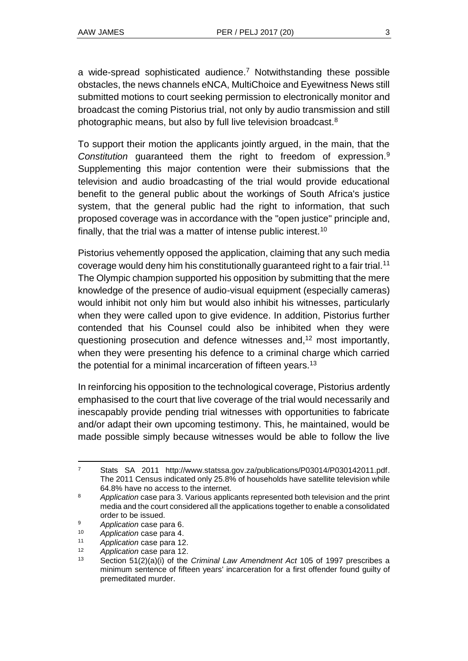a wide-spread sophisticated audience.<sup>7</sup> Notwithstanding these possible obstacles, the news channels eNCA, MultiChoice and Eyewitness News still submitted motions to court seeking permission to electronically monitor and broadcast the coming Pistorius trial, not only by audio transmission and still photographic means, but also by full live television broadcast.<sup>8</sup>

To support their motion the applicants jointly argued, in the main, that the *Constitution* guaranteed them the right to freedom of expression.<sup>9</sup> Supplementing this major contention were their submissions that the television and audio broadcasting of the trial would provide educational benefit to the general public about the workings of South Africa's justice system, that the general public had the right to information, that such proposed coverage was in accordance with the "open justice" principle and, finally, that the trial was a matter of intense public interest.<sup>10</sup>

Pistorius vehemently opposed the application, claiming that any such media coverage would deny him his constitutionally guaranteed right to a fair trial.<sup>11</sup> The Olympic champion supported his opposition by submitting that the mere knowledge of the presence of audio-visual equipment (especially cameras) would inhibit not only him but would also inhibit his witnesses, particularly when they were called upon to give evidence. In addition, Pistorius further contended that his Counsel could also be inhibited when they were questioning prosecution and defence witnesses and,<sup>12</sup> most importantly, when they were presenting his defence to a criminal charge which carried the potential for a minimal incarceration of fifteen years.<sup>13</sup>

In reinforcing his opposition to the technological coverage, Pistorius ardently emphasised to the court that live coverage of the trial would necessarily and inescapably provide pending trial witnesses with opportunities to fabricate and/or adapt their own upcoming testimony. This, he maintained, would be made possible simply because witnesses would be able to follow the live

<sup>7</sup> Stats SA 2011 http://www.statssa.gov.za/publications/P03014/P030142011.pdf. The 2011 Census indicated only 25.8% of households have satellite television while 64.8% have no access to the internet.

<sup>8</sup> *Application* case para 3. Various applicants represented both television and the print media and the court considered all the applications together to enable a consolidated order to be issued.

<sup>9</sup> *Application* case para 6.

<sup>10</sup> *Application* case para 4.

<sup>11</sup> *Application* case para 12.

<sup>12</sup> *Application* case para 12.

<sup>13</sup> Section 51(2)(a)(i) of the *Criminal Law Amendment Act* 105 of 1997 prescribes a minimum sentence of fifteen years' incarceration for a first offender found guilty of premeditated murder.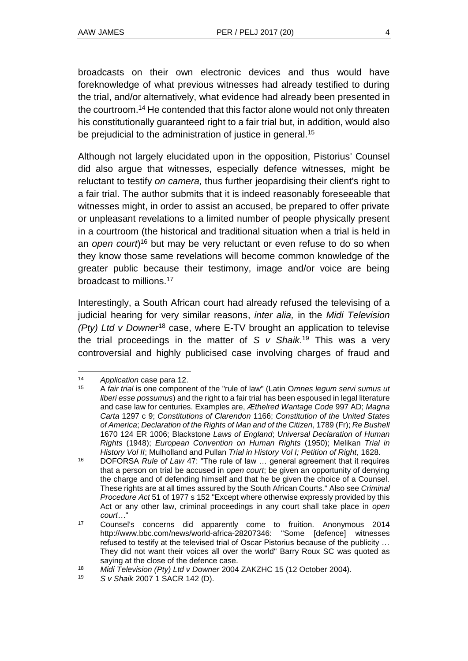broadcasts on their own electronic devices and thus would have foreknowledge of what previous witnesses had already testified to during the trial, and/or alternatively, what evidence had already been presented in the courtroom.<sup>14</sup> He contended that this factor alone would not only threaten his constitutionally guaranteed right to a fair trial but, in addition, would also be prejudicial to the administration of justice in general.<sup>15</sup>

Although not largely elucidated upon in the opposition, Pistorius' Counsel did also argue that witnesses, especially defence witnesses, might be reluctant to testify *on camera,* thus further jeopardising their client's right to a fair trial. The author submits that it is indeed reasonably foreseeable that witnesses might, in order to assist an accused, be prepared to offer private or unpleasant revelations to a limited number of people physically present in a courtroom (the historical and traditional situation when a trial is held in an *open court*)<sup>16</sup> but may be very reluctant or even refuse to do so when they know those same revelations will become common knowledge of the greater public because their testimony, image and/or voice are being broadcast to millions.<sup>17</sup>

Interestingly, a South African court had already refused the televising of a judicial hearing for very similar reasons, *inter alia,* in the *Midi Television (Pty) Ltd v Downer*<sup>18</sup> case, where E-TV brought an application to televise the trial proceedings in the matter of *S v Shaik*. <sup>19</sup> This was a very controversial and highly publicised case involving charges of fraud and

<sup>14</sup> *Application* case para 12.<br>15  $\Delta$  *fair trial* is one component

<sup>15</sup> A *fair trial* is one component of the "rule of law" (Latin O*mnes legum servi sumus ut liberi esse possumus*) and the right to a fair trial has been espoused in legal literature and case law for centuries. Examples are, *Æthelred Wantage Code* 997 AD; *Magna Carta* 1297 c 9; *Constitutions of Clarendon* 1166; *Constitution of the United States of America*; *Declaration of the Rights of Man and of the Citizen*, 1789 (Fr); *Re Bushell* 1670 124 ER 1006; Blackstone *Laws of England*; *Universal Declaration of Human Rights* (1948); *European Convention on Human Rights* (1950); Melikan *Trial in History Vol II*; Mulholland and Pullan *Trial in History Vol I; Petition of Right*, 1628.

<sup>16</sup> DOFORSA *Rule of Law* 47: "The rule of law … general agreement that it requires that a person on trial be accused in *open court*; be given an opportunity of denying the charge and of defending himself and that he be given the choice of a Counsel. These rights are at all times assured by the South African Courts." Also see *Criminal Procedure Act* 51 of 1977 s 152 "Except where otherwise expressly provided by this Act or any other law, criminal proceedings in any court shall take place in *open court…*"

<sup>17</sup> Counsel's concerns did apparently come to fruition. Anonymous 2014 http://www.bbc.com/news/world-africa-28207346: "Some [defence] witnesses refused to testify at the televised trial of Oscar Pistorius because of the publicity … They did not want their voices all over the world" Barry Roux SC was quoted as saying at the close of the defence case.

<sup>18</sup> *Midi Television (Pty) Ltd v Downer* 2004 ZAKZHC 15 (12 October 2004).

<sup>19</sup> *S v Shaik* 2007 1 SACR 142 (D).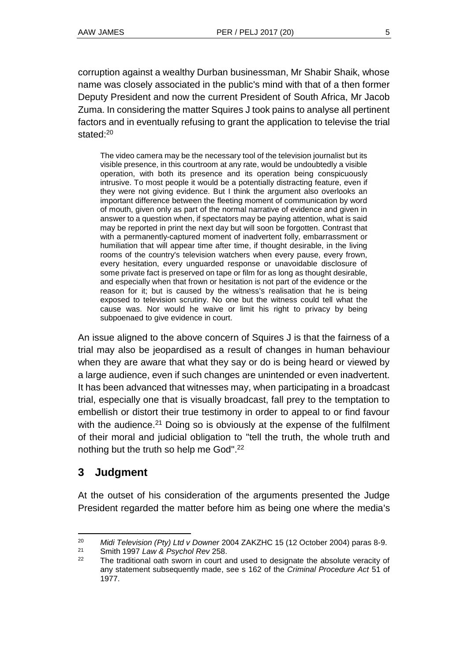corruption against a wealthy Durban businessman, Mr Shabir Shaik, whose name was closely associated in the public's mind with that of a then former Deputy President and now the current President of South Africa, Mr Jacob Zuma. In considering the matter Squires J took pains to analyse all pertinent factors and in eventually refusing to grant the application to televise the trial stated:<sup>20</sup>

The video camera may be the necessary tool of the television journalist but its visible presence, in this courtroom at any rate, would be undoubtedly a visible operation, with both its presence and its operation being conspicuously intrusive. To most people it would be a potentially distracting feature, even if they were not giving evidence. But I think the argument also overlooks an important difference between the fleeting moment of communication by word of mouth, given only as part of the normal narrative of evidence and given in answer to a question when, if spectators may be paying attention, what is said may be reported in print the next day but will soon be forgotten. Contrast that with a permanently-captured moment of inadvertent folly, embarrassment or humiliation that will appear time after time, if thought desirable, in the living rooms of the country's television watchers when every pause, every frown, every hesitation, every unguarded response or unavoidable disclosure of some private fact is preserved on tape or film for as long as thought desirable, and especially when that frown or hesitation is not part of the evidence or the reason for it; but is caused by the witness's realisation that he is being exposed to television scrutiny. No one but the witness could tell what the cause was. Nor would he waive or limit his right to privacy by being subpoenaed to give evidence in court.

An issue aligned to the above concern of Squires J is that the fairness of a trial may also be jeopardised as a result of changes in human behaviour when they are aware that what they say or do is being heard or viewed by a large audience, even if such changes are unintended or even inadvertent. It has been advanced that witnesses may, when participating in a broadcast trial, especially one that is visually broadcast, fall prey to the temptation to embellish or distort their true testimony in order to appeal to or find favour with the audience.<sup>21</sup> Doing so is obviously at the expense of the fulfilment of their moral and judicial obligation to "tell the truth, the whole truth and nothing but the truth so help me God".<sup>22</sup>

# **3 Judgment**

l

At the outset of his consideration of the arguments presented the Judge President regarded the matter before him as being one where the media's

<sup>20</sup> *Midi Television (Pty) Ltd v Downer* 2004 ZAKZHC 15 (12 October 2004) paras 8-9.

<sup>21</sup> Smith 1997 *Law & Psychol Rev* 258.

 $22$  The traditional oath sworn in court and used to designate the absolute veracity of any statement subsequently made, see s 162 of the *Criminal Procedure Act* 51 of 1977.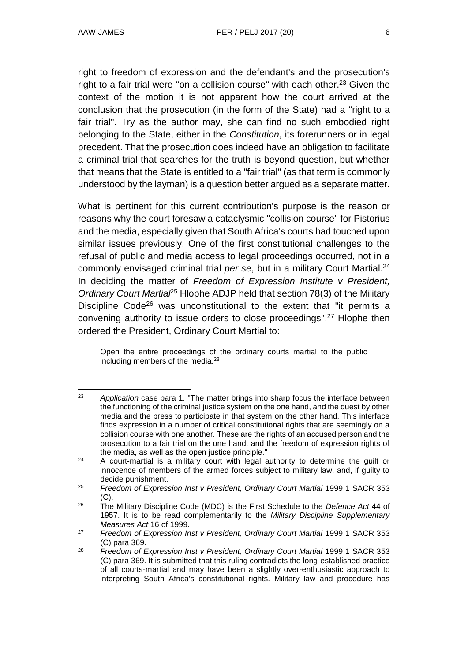l

right to freedom of expression and the defendant's and the prosecution's right to a fair trial were "on a collision course" with each other.<sup>23</sup> Given the context of the motion it is not apparent how the court arrived at the conclusion that the prosecution (in the form of the State) had a "right to a fair trial". Try as the author may, she can find no such embodied right belonging to the State, either in the *Constitution*, its forerunners or in legal precedent. That the prosecution does indeed have an obligation to facilitate a criminal trial that searches for the truth is beyond question, but whether that means that the State is entitled to a "fair trial" (as that term is commonly understood by the layman) is a question better argued as a separate matter.

What is pertinent for this current contribution's purpose is the reason or reasons why the court foresaw a cataclysmic "collision course" for Pistorius and the media, especially given that South Africa's courts had touched upon similar issues previously. One of the first constitutional challenges to the refusal of public and media access to legal proceedings occurred, not in a commonly envisaged criminal trial *per se*, but in a military Court Martial.<sup>24</sup> In deciding the matter of *Freedom of Expression Institute v President, Ordinary Court Martial*<sup>25</sup> Hlophe ADJP held that section 78(3) of the Military Discipline Code<sup>26</sup> was unconstitutional to the extent that "it permits a convening authority to issue orders to close proceedings". <sup>27</sup> Hlophe then ordered the President, Ordinary Court Martial to:

Open the entire proceedings of the ordinary courts martial to the public including members of the media.<sup>28</sup>

<sup>23</sup> *Application* case para 1. "The matter brings into sharp focus the interface between the functioning of the criminal justice system on the one hand, and the quest by other media and the press to participate in that system on the other hand. This interface finds expression in a number of critical constitutional rights that are seemingly on a collision course with one another. These are the rights of an accused person and the prosecution to a fair trial on the one hand, and the freedom of expression rights of the media, as well as the open justice principle."

<sup>&</sup>lt;sup>24</sup> A court-martial is a military court with legal authority to determine the guilt or innocence of members of the armed forces subject to military law, and, if guilty to decide punishment.

<sup>25</sup> *Freedom of Expression Inst v President, Ordinary Court Martial* 1999 1 SACR 353 (C).

<sup>26</sup> The Military Discipline Code (MDC) is the First Schedule to the *Defence Act* 44 of 1957. It is to be read complementarily to the *Military Discipline Supplementary Measures Act* 16 of 1999.

<sup>27</sup> *Freedom of Expression Inst v President, Ordinary Court Martial* 1999 1 SACR 353 (C) para 369.

<sup>28</sup> *Freedom of Expression Inst v President, Ordinary Court Martial* 1999 1 SACR 353 (C) para 369. It is submitted that this ruling contradicts the long-established practice of all courts-martial and may have been a slightly over-enthusiastic approach to interpreting South Africa's constitutional rights. Military law and procedure has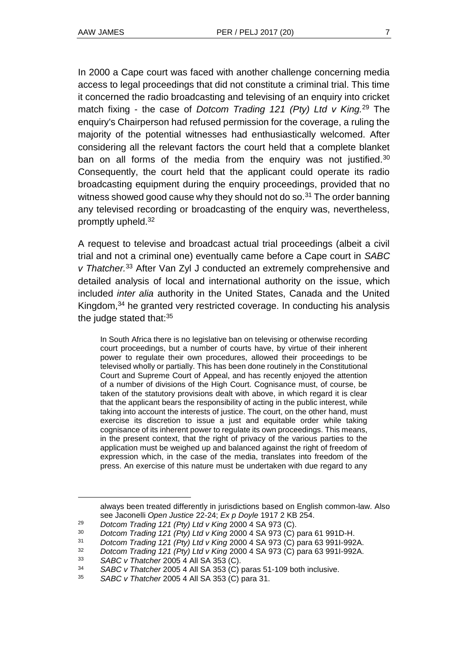In 2000 a Cape court was faced with another challenge concerning media access to legal proceedings that did not constitute a criminal trial. This time it concerned the radio broadcasting and televising of an enquiry into cricket match fixing - the case of *Dotcom Trading 121 (Pty) Ltd v King.*<sup>29</sup> The enquiry's Chairperson had refused permission for the coverage, a ruling the majority of the potential witnesses had enthusiastically welcomed. After considering all the relevant factors the court held that a complete blanket ban on all forms of the media from the enquiry was not justified.<sup>30</sup> Consequently, the court held that the applicant could operate its radio broadcasting equipment during the enquiry proceedings, provided that no witness showed good cause why they should not do so. $31$  The order banning any televised recording or broadcasting of the enquiry was, nevertheless, promptly upheld.<sup>32</sup>

A request to televise and broadcast actual trial proceedings (albeit a civil trial and not a criminal one) eventually came before a Cape court in *SABC v Thatcher.*<sup>33</sup> After Van Zyl J conducted an extremely comprehensive and detailed analysis of local and international authority on the issue, which included *inter alia* authority in the United States, Canada and the United Kingdom,<sup>34</sup> he granted very restricted coverage. In conducting his analysis the judge stated that: $35$ 

In South Africa there is no legislative ban on televising or otherwise recording court proceedings, but a number of courts have, by virtue of their inherent power to regulate their own procedures, allowed their proceedings to be televised wholly or partially. This has been done routinely in the Constitutional Court and Supreme Court of Appeal, and has recently enjoyed the attention of a number of divisions of the High Court. Cognisance must, of course, be taken of the statutory provisions dealt with above, in which regard it is clear that the applicant bears the responsibility of acting in the public interest, while taking into account the interests of justice. The court, on the other hand, must exercise its discretion to issue a just and equitable order while taking cognisance of its inherent power to regulate its own proceedings. This means, in the present context, that the right of privacy of the various parties to the application must be weighed up and balanced against the right of freedom of expression which, in the case of the media, translates into freedom of the press. An exercise of this nature must be undertaken with due regard to any

always been treated differently in jurisdictions based on English common-law. Also see Jaconelli *Open Justice* 22-24; *Ex p Doyle* 1917 2 KB 254.

<sup>29</sup> *Dotcom Trading 121 (Pty) Ltd v King* 2000 4 SA 973 (C).

<sup>30</sup> *Dotcom Trading 121 (Pty) Ltd v King* 2000 4 SA 973 (C) para 61 991D-H.

<sup>31</sup> *Dotcom Trading 121 (Pty) Ltd v King* 2000 4 SA 973 (C) para 63 991I-992A.

<sup>32</sup> *Dotcom Trading 121 (Pty) Ltd v King* 2000 4 SA 973 (C) para 63 991I-992A.

<sup>33</sup> *SABC v Thatcher* 2005 4 All SA 353 (C).

<sup>34</sup> *SABC v Thatcher* 2005 4 All SA 353 (C) paras 51-109 both inclusive.

<sup>35</sup> *SABC v Thatcher* 2005 4 All SA 353 (C) para 31.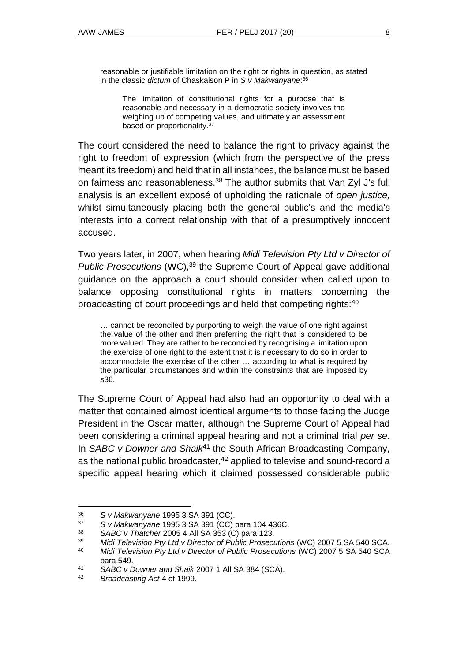reasonable or justifiable limitation on the right or rights in question, as stated in the classic *dictum* of Chaskalson P in *S v Makwanyane*: 36

The limitation of constitutional rights for a purpose that is reasonable and necessary in a democratic society involves the weighing up of competing values, and ultimately an assessment based on proportionality.<sup>37</sup>

The court considered the need to balance the right to privacy against the right to freedom of expression (which from the perspective of the press meant its freedom) and held that in all instances, the balance must be based on fairness and reasonableness.<sup>38</sup> The author submits that Van Zyl J's full analysis is an excellent exposé of upholding the rationale of *open justice,* whilst simultaneously placing both the general public's and the media's interests into a correct relationship with that of a presumptively innocent accused.

Two years later, in 2007, when hearing *Midi Television Pty Ltd v Director of Public Prosecutions* (WC), <sup>39</sup> the Supreme Court of Appeal gave additional guidance on the approach a court should consider when called upon to balance opposing constitutional rights in matters concerning the broadcasting of court proceedings and held that competing rights:<sup>40</sup>

… cannot be reconciled by purporting to weigh the value of one right against the value of the other and then preferring the right that is considered to be more valued. They are rather to be reconciled by recognising a limitation upon the exercise of one right to the extent that it is necessary to do so in order to accommodate the exercise of the other … according to what is required by the particular circumstances and within the constraints that are imposed by s36.

The Supreme Court of Appeal had also had an opportunity to deal with a matter that contained almost identical arguments to those facing the Judge President in the Oscar matter, although the Supreme Court of Appeal had been considering a criminal appeal hearing and not a criminal trial *per se.* In *SABC v Downer and Shaik*<sup>41</sup> the South African Broadcasting Company, as the national public broadcaster,<sup>42</sup> applied to televise and sound-record a specific appeal hearing which it claimed possessed considerable public

<sup>36</sup> *S v Makwanyane* 1995 3 SA 391 (CC).

<sup>37</sup> *S v Makwanyane* 1995 3 SA 391 (CC) para 104 436C.

<sup>38</sup> *SABC v Thatcher* 2005 4 All SA 353 (C) para 123.

<sup>39</sup> *Midi Television Pty Ltd v Director of Public Prosecutions* (WC) 2007 5 SA 540 SCA.

<sup>40</sup> *Midi Television Pty Ltd v Director of Public Prosecutions* (WC) 2007 5 SA 540 SCA para 549.

<sup>41</sup> *SABC v Downer and Shaik* 2007 1 All SA 384 (SCA).

<sup>42</sup> *Broadcasting Act* 4 of 1999.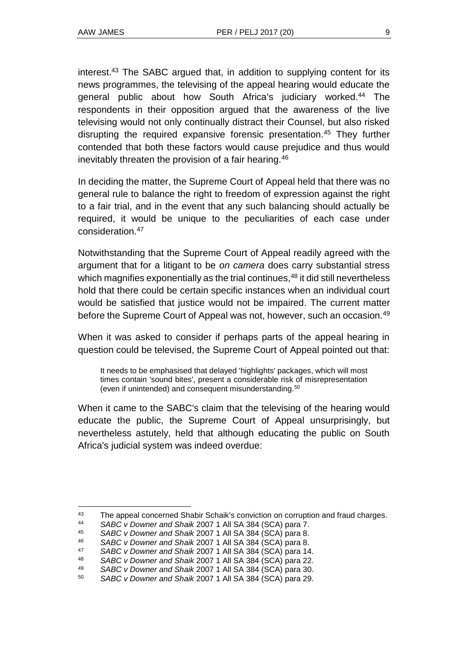l

interest.<sup>43</sup> The SABC argued that, in addition to supplying content for its news programmes, the televising of the appeal hearing would educate the general public about how South Africa's judiciary worked.<sup>44</sup> The respondents in their opposition argued that the awareness of the live televising would not only continually distract their Counsel, but also risked disrupting the required expansive forensic presentation.<sup>45</sup> They further contended that both these factors would cause prejudice and thus would inevitably threaten the provision of a fair hearing.<sup>46</sup>

In deciding the matter, the Supreme Court of Appeal held that there was no general rule to balance the right to freedom of expression against the right to a fair trial, and in the event that any such balancing should actually be required, it would be unique to the peculiarities of each case under consideration  $47$ 

Notwithstanding that the Supreme Court of Appeal readily agreed with the argument that for a litigant to be *on camera* does carry substantial stress which magnifies exponentially as the trial continues,  $48$  it did still nevertheless hold that there could be certain specific instances when an individual court would be satisfied that justice would not be impaired. The current matter before the Supreme Court of Appeal was not, however, such an occasion.<sup>49</sup>

When it was asked to consider if perhaps parts of the appeal hearing in question could be televised, the Supreme Court of Appeal pointed out that:

It needs to be emphasised that delayed 'highlights' packages, which will most times contain 'sound bites', present a considerable risk of misrepresentation (even if unintended) and consequent misunderstanding.<sup>50</sup>

When it came to the SABC's claim that the televising of the hearing would educate the public, the Supreme Court of Appeal unsurprisingly, but nevertheless astutely, held that although educating the public on South Africa's judicial system was indeed overdue:

<sup>&</sup>lt;sup>43</sup> The appeal concerned Shabir Schaik's conviction on corruption and fraud charges.

<sup>44</sup> *SABC v Downer and Shaik* 2007 1 All SA 384 (SCA) para 7.

<sup>45</sup> *SABC v Downer and Shaik* 2007 1 All SA 384 (SCA) para 8.

<sup>46</sup> *SABC v Downer and Shaik* 2007 1 All SA 384 (SCA) para 8.

<sup>47</sup> *SABC v Downer and Shaik* 2007 1 All SA 384 (SCA) para 14.

<sup>48</sup> *SABC v Downer and Shaik* 2007 1 All SA 384 (SCA) para 22.

<sup>49</sup> *SABC v Downer and Shaik* 2007 1 All SA 384 (SCA) para 30.

<sup>50</sup> *SABC v Downer and Shaik* 2007 1 All SA 384 (SCA) para 29.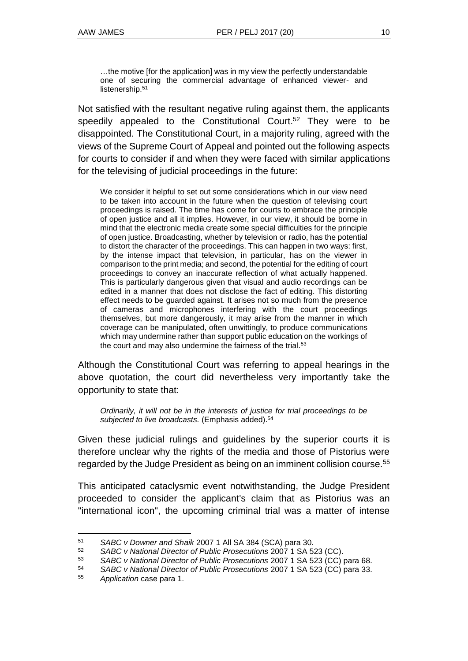…the motive [for the application] was in my view the perfectly understandable one of securing the commercial advantage of enhanced viewer- and listenership.<sup>51</sup>

Not satisfied with the resultant negative ruling against them, the applicants speedily appealed to the Constitutional Court.<sup>52</sup> They were to be disappointed. The Constitutional Court, in a majority ruling, agreed with the views of the Supreme Court of Appeal and pointed out the following aspects for courts to consider if and when they were faced with similar applications for the televising of judicial proceedings in the future:

We consider it helpful to set out some considerations which in our view need to be taken into account in the future when the question of televising court proceedings is raised. The time has come for courts to embrace the principle of open justice and all it implies. However, in our view, it should be borne in mind that the electronic media create some special difficulties for the principle of open justice. Broadcasting, whether by television or radio, has the potential to distort the character of the proceedings. This can happen in two ways: first, by the intense impact that television, in particular, has on the viewer in comparison to the print media; and second, the potential for the editing of court proceedings to convey an inaccurate reflection of what actually happened. This is particularly dangerous given that visual and audio recordings can be edited in a manner that does not disclose the fact of editing. This distorting effect needs to be guarded against. It arises not so much from the presence of cameras and microphones interfering with the court proceedings themselves, but more dangerously, it may arise from the manner in which coverage can be manipulated, often unwittingly, to produce communications which may undermine rather than support public education on the workings of the court and may also undermine the fairness of the trial.<sup>53</sup>

Although the Constitutional Court was referring to appeal hearings in the above quotation, the court did nevertheless very importantly take the opportunity to state that:

*Ordinarily, it will not be in the interests of justice for trial proceedings to be subjected to live broadcasts.* (Emphasis added).<sup>54</sup>

Given these judicial rulings and guidelines by the superior courts it is therefore unclear why the rights of the media and those of Pistorius were regarded by the Judge President as being on an imminent collision course.<sup>55</sup>

This anticipated cataclysmic event notwithstanding, the Judge President proceeded to consider the applicant's claim that as Pistorius was an "international icon", the upcoming criminal trial was a matter of intense

l <sup>51</sup> *SABC v Downer and Shaik* 2007 1 All SA 384 (SCA) para 30.

<sup>52</sup> *SABC v National Director of Public Prosecutions* 2007 1 SA 523 (CC).

<sup>53</sup> *SABC v National Director of Public Prosecutions* 2007 1 SA 523 (CC) para 68.

<sup>54</sup> *SABC v National Director of Public Prosecutions* 2007 1 SA 523 (CC) para 33.

<sup>55</sup> *Application* case para 1.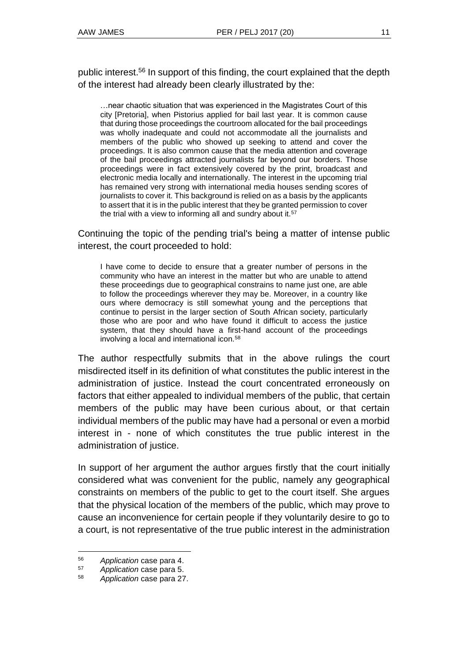public interest.<sup>56</sup> In support of this finding, the court explained that the depth of the interest had already been clearly illustrated by the:

…near chaotic situation that was experienced in the Magistrates Court of this city [Pretoria], when Pistorius applied for bail last year. It is common cause that during those proceedings the courtroom allocated for the bail proceedings was wholly inadequate and could not accommodate all the journalists and members of the public who showed up seeking to attend and cover the proceedings. It is also common cause that the media attention and coverage of the bail proceedings attracted journalists far beyond our borders. Those proceedings were in fact extensively covered by the print, broadcast and electronic media locally and internationally. The interest in the upcoming trial has remained very strong with international media houses sending scores of journalists to cover it. This background is relied on as a basis by the applicants to assert that it is in the public interest that they be granted permission to cover the trial with a view to informing all and sundry about it.<sup>57</sup>

Continuing the topic of the pending trial's being a matter of intense public interest, the court proceeded to hold:

I have come to decide to ensure that a greater number of persons in the community who have an interest in the matter but who are unable to attend these proceedings due to geographical constrains to name just one, are able to follow the proceedings wherever they may be. Moreover, in a country like ours where democracy is still somewhat young and the perceptions that continue to persist in the larger section of South African society, particularly those who are poor and who have found it difficult to access the justice system, that they should have a first-hand account of the proceedings involving a local and international icon.<sup>58</sup>

The author respectfully submits that in the above rulings the court misdirected itself in its definition of what constitutes the public interest in the administration of justice. Instead the court concentrated erroneously on factors that either appealed to individual members of the public, that certain members of the public may have been curious about, or that certain individual members of the public may have had a personal or even a morbid interest in - none of which constitutes the true public interest in the administration of justice.

In support of her argument the author argues firstly that the court initially considered what was convenient for the public, namely any geographical constraints on members of the public to get to the court itself. She argues that the physical location of the members of the public, which may prove to cause an inconvenience for certain people if they voluntarily desire to go to a court, is not representative of the true public interest in the administration

 $\overline{a}$ 

<sup>56</sup> *Application* case para 4.

<sup>57</sup> *Application* case para 5.

<sup>58</sup> *Application* case para 27.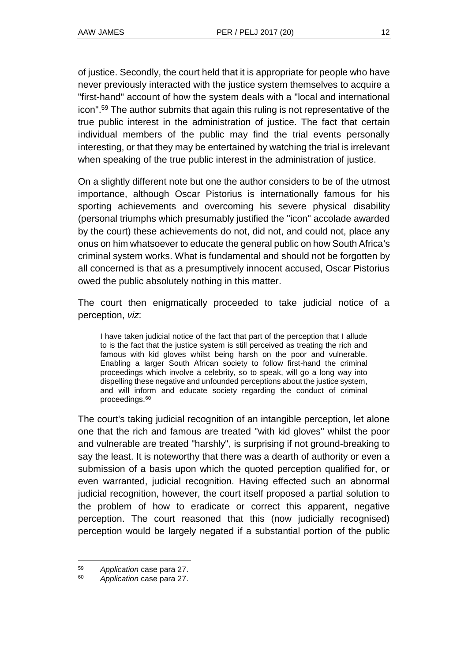of justice. Secondly, the court held that it is appropriate for people who have never previously interacted with the justice system themselves to acquire a "first-hand" account of how the system deals with a "local and international icon". <sup>59</sup> The author submits that again this ruling is not representative of the true public interest in the administration of justice. The fact that certain individual members of the public may find the trial events personally interesting, or that they may be entertained by watching the trial is irrelevant when speaking of the true public interest in the administration of justice.

On a slightly different note but one the author considers to be of the utmost importance, although Oscar Pistorius is internationally famous for his sporting achievements and overcoming his severe physical disability (personal triumphs which presumably justified the "icon" accolade awarded by the court) these achievements do not, did not, and could not, place any onus on him whatsoever to educate the general public on how South Africa's criminal system works. What is fundamental and should not be forgotten by all concerned is that as a presumptively innocent accused, Oscar Pistorius owed the public absolutely nothing in this matter.

The court then enigmatically proceeded to take judicial notice of a perception, *viz*:

I have taken judicial notice of the fact that part of the perception that I allude to is the fact that the justice system is still perceived as treating the rich and famous with kid gloves whilst being harsh on the poor and vulnerable. Enabling a larger South African society to follow first-hand the criminal proceedings which involve a celebrity, so to speak, will go a long way into dispelling these negative and unfounded perceptions about the justice system, and will inform and educate society regarding the conduct of criminal proceedings.<sup>60</sup>

The court's taking judicial recognition of an intangible perception, let alone one that the rich and famous are treated "with kid gloves" whilst the poor and vulnerable are treated "harshly", is surprising if not ground-breaking to say the least. It is noteworthy that there was a dearth of authority or even a submission of a basis upon which the quoted perception qualified for, or even warranted, judicial recognition. Having effected such an abnormal judicial recognition, however, the court itself proposed a partial solution to the problem of how to eradicate or correct this apparent, negative perception. The court reasoned that this (now judicially recognised) perception would be largely negated if a substantial portion of the public

<sup>59</sup> *Application* case para 27.

<sup>60</sup> *Application* case para 27.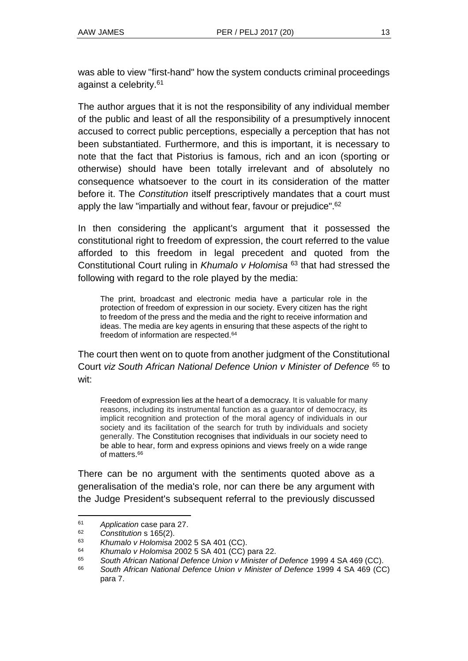was able to view "first-hand" how the system conducts criminal proceedings against a celebrity.<sup>61</sup>

The author argues that it is not the responsibility of any individual member of the public and least of all the responsibility of a presumptively innocent accused to correct public perceptions, especially a perception that has not been substantiated. Furthermore, and this is important, it is necessary to note that the fact that Pistorius is famous, rich and an icon (sporting or otherwise) should have been totally irrelevant and of absolutely no consequence whatsoever to the court in its consideration of the matter before it. The *Constitution* itself prescriptively mandates that a court must apply the law "impartially and without fear, favour or prejudice".<sup>62</sup>

In then considering the applicant's argument that it possessed the constitutional right to freedom of expression, the court referred to the value afforded to this freedom in legal precedent and quoted from the Constitutional Court ruling in *Khumalo v Holomisa* <sup>63</sup> that had stressed the following with regard to the role played by the media:

The print, broadcast and electronic media have a particular role in the protection of freedom of expression in our society. Every citizen has the right to freedom of the press and the media and the right to receive information and ideas. The media are key agents in ensuring that these aspects of the right to freedom of information are respected. 64

The court then went on to quote from another judgment of the Constitutional Court *viz South African National Defence Union v Minister of Defence* <sup>65</sup> to wit:

Freedom of expression lies at the heart of a democracy. It is valuable for many reasons, including its instrumental function as a guarantor of democracy, its implicit recognition and protection of the moral agency of individuals in our society and its facilitation of the search for truth by individuals and society generally. The Constitution recognises that individuals in our society need to be able to hear, form and express opinions and views freely on a wide range of matters.<sup>66</sup>

There can be no argument with the sentiments quoted above as a generalisation of the media's role, nor can there be any argument with the Judge President's subsequent referral to the previously discussed

<sup>61</sup> *Application* case para 27.

<sup>62</sup> *Constitution* s 165(2).

<sup>63</sup> *Khumalo v Holomisa* 2002 5 SA 401 (CC).

<sup>64</sup> *Khumalo v Holomisa* 2002 5 SA 401 (CC) para 22.

<sup>65</sup> *South African National Defence Union v Minister of Defence* 1999 4 [SA 469](http://www.saflii.org/cgi-bin/LawCite?cit=1999%20%284%29%20SA%20469) (CC).

<sup>66</sup> *South African National Defence Union v Minister of Defence* 1999 4 [SA 469](http://www.saflii.org/cgi-bin/LawCite?cit=1999%20%284%29%20SA%20469) (CC) para 7.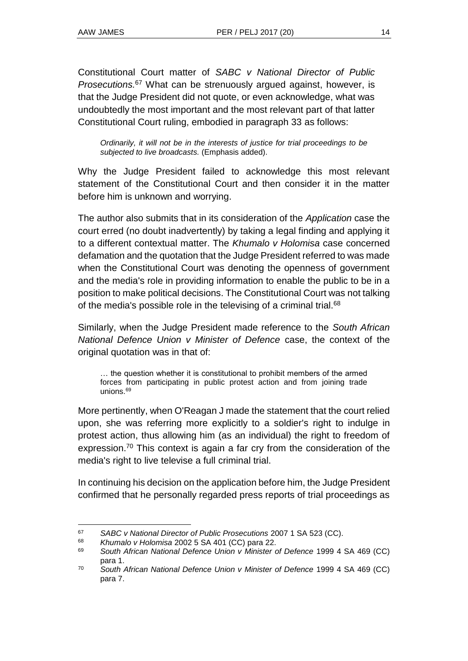Constitutional Court matter of *SABC v National Director of Public Prosecutions.*<sup>67</sup> What can be strenuously argued against, however, is that the Judge President did not quote, or even acknowledge, what was undoubtedly the most important and the most relevant part of that latter Constitutional Court ruling, embodied in paragraph 33 as follows:

*Ordinarily, it will not be in the interests of justice for trial proceedings to be subjected to live broadcasts.* (Emphasis added).

Why the Judge President failed to acknowledge this most relevant statement of the Constitutional Court and then consider it in the matter before him is unknown and worrying.

The author also submits that in its consideration of the *Application* case the court erred (no doubt inadvertently) by taking a legal finding and applying it to a different contextual matter. The *Khumalo v Holomisa* case concerned defamation and the quotation that the Judge President referred to was made when the Constitutional Court was denoting the openness of government and the media's role in providing information to enable the public to be in a position to make political decisions. The Constitutional Court was not talking of the media's possible role in the televising of a criminal trial.<sup>68</sup>

Similarly, when the Judge President made reference to the *South African National Defence Union v Minister of Defence* case, the context of the original quotation was in that of:

… the question whether it is constitutional to prohibit members of the armed forces from participating in public protest action and from joining trade unions.<sup>69</sup>

More pertinently, when O'Reagan J made the statement that the court relied upon, she was referring more explicitly to a soldier's right to indulge in protest action, thus allowing him (as an individual) the right to freedom of expression.<sup>70</sup> This context is again a far cry from the consideration of the media's right to live televise a full criminal trial.

In continuing his decision on the application before him, the Judge President confirmed that he personally regarded press reports of trial proceedings as

<sup>67</sup> *SABC v National Director of Public Prosecutions* 2007 1 SA 523 (CC).

<sup>68</sup> *Khumalo v Holomisa* 2002 5 SA 401 (CC) para 22.

<sup>69</sup> *South African National Defence Union v Minister of Defence* 1999 4 [SA 469](http://www.saflii.org/cgi-bin/LawCite?cit=1999%20%284%29%20SA%20469) (CC) para 1.

<sup>70</sup> *South African National Defence Union v Minister of Defence* 1999 4 [SA 469](http://www.saflii.org/cgi-bin/LawCite?cit=1999%20%284%29%20SA%20469) (CC) para 7.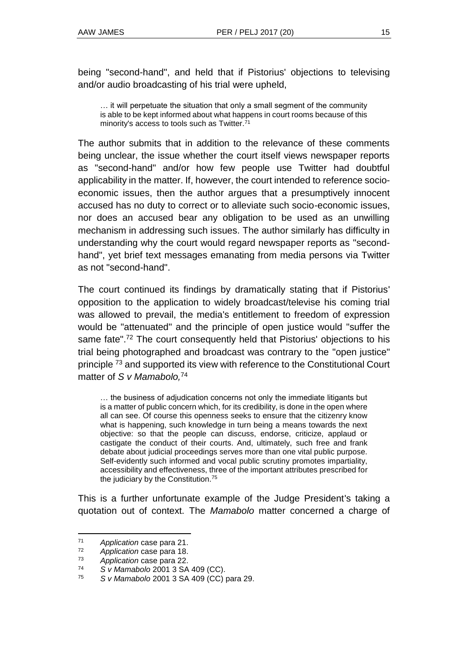being "second-hand", and held that if Pistorius' objections to televising and/or audio broadcasting of his trial were upheld,

… it will perpetuate the situation that only a small segment of the community is able to be kept informed about what happens in court rooms because of this minority's access to tools such as Twitter.<sup>71</sup>

The author submits that in addition to the relevance of these comments being unclear, the issue whether the court itself views newspaper reports as "second-hand" and/or how few people use Twitter had doubtful applicability in the matter. If, however, the court intended to reference socioeconomic issues, then the author argues that a presumptively innocent accused has no duty to correct or to alleviate such socio-economic issues, nor does an accused bear any obligation to be used as an unwilling mechanism in addressing such issues. The author similarly has difficulty in understanding why the court would regard newspaper reports as "secondhand", yet brief text messages emanating from media persons via Twitter as not "second-hand".

The court continued its findings by dramatically stating that if Pistorius' opposition to the application to widely broadcast/televise his coming trial was allowed to prevail, the media's entitlement to freedom of expression would be "attenuated" and the principle of open justice would "suffer the same fate".<sup>72</sup> The court consequently held that Pistorius' objections to his trial being photographed and broadcast was contrary to the "open justice" principle <sup>73</sup> and supported its view with reference to the Constitutional Court matter of *S v Mamabolo,*<sup>74</sup>

… the business of adjudication concerns not only the immediate litigants but is a matter of public concern which, for its credibility, is done in the open where all can see. Of course this openness seeks to ensure that the citizenry know what is happening, such knowledge in turn being a means towards the next objective: so that the people can discuss, endorse, criticize, applaud or castigate the conduct of their courts. And, ultimately, such free and frank debate about judicial proceedings serves more than one vital public purpose. Self-evidently such informed and vocal public scrutiny promotes impartiality, accessibility and effectiveness, three of the important attributes prescribed for the judiciary by the Constitution. 75

This is a further unfortunate example of the Judge President's taking a quotation out of context. The *Mamabolo* matter concerned a charge of

<sup>71</sup> *Application* case para 21.

<sup>72</sup> *Application* case para 18.

<sup>73</sup> *Application* case para 22.

<sup>74</sup> *S v Mamabolo* 2001 3 SA 409 (CC).

<sup>75</sup> *S v Mamabolo* 2001 3 SA 409 (CC) para 29.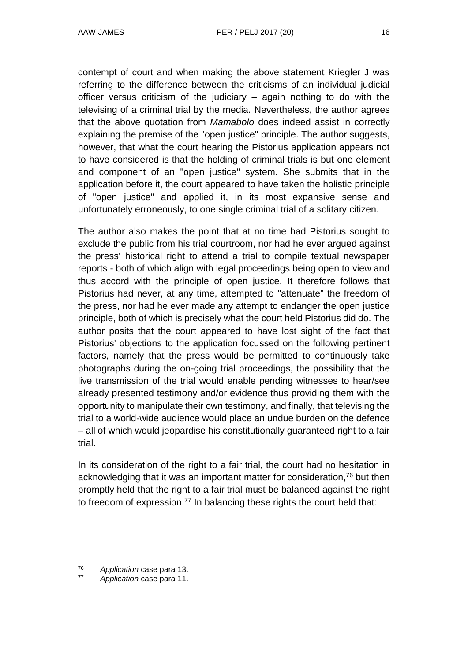contempt of court and when making the above statement Kriegler J was referring to the difference between the criticisms of an individual judicial officer versus criticism of the judiciary – again nothing to do with the televising of a criminal trial by the media. Nevertheless, the author agrees that the above quotation from *Mamabolo* does indeed assist in correctly explaining the premise of the "open justice" principle. The author suggests, however, that what the court hearing the Pistorius application appears not to have considered is that the holding of criminal trials is but one element and component of an "open justice" system. She submits that in the application before it, the court appeared to have taken the holistic principle of "open justice" and applied it, in its most expansive sense and unfortunately erroneously, to one single criminal trial of a solitary citizen.

The author also makes the point that at no time had Pistorius sought to exclude the public from his trial courtroom, nor had he ever argued against the press' historical right to attend a trial to compile textual newspaper reports - both of which align with legal proceedings being open to view and thus accord with the principle of open justice. It therefore follows that Pistorius had never, at any time, attempted to "attenuate" the freedom of the press, nor had he ever made any attempt to endanger the open justice principle, both of which is precisely what the court held Pistorius did do. The author posits that the court appeared to have lost sight of the fact that Pistorius' objections to the application focussed on the following pertinent factors, namely that the press would be permitted to continuously take photographs during the on-going trial proceedings, the possibility that the live transmission of the trial would enable pending witnesses to hear/see already presented testimony and/or evidence thus providing them with the opportunity to manipulate their own testimony, and finally, that televising the trial to a world-wide audience would place an undue burden on the defence – all of which would jeopardise his constitutionally guaranteed right to a fair trial.

In its consideration of the right to a fair trial, the court had no hesitation in acknowledging that it was an important matter for consideration,<sup>76</sup> but then promptly held that the right to a fair trial must be balanced against the right to freedom of expression. $77$  In balancing these rights the court held that:

<sup>76</sup> *Application* case para 13.

<sup>77</sup> *Application* case para 11.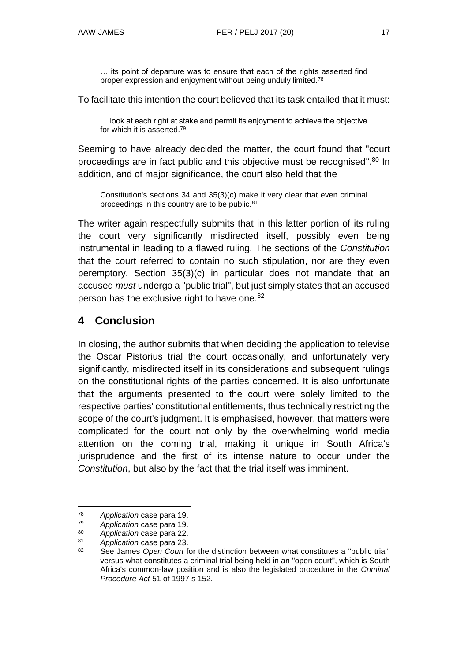… its point of departure was to ensure that each of the rights asserted find proper expression and enjoyment without being unduly limited.<sup>78</sup>

To facilitate this intention the court believed that its task entailed that it must:

… look at each right at stake and permit its enjoyment to achieve the objective for which it is asserted.<sup>79</sup>

Seeming to have already decided the matter, the court found that "court proceedings are in fact public and this objective must be recognised".<sup>80</sup> In addition, and of major significance, the court also held that the

Constitution's sections 34 and 35(3)(c) make it very clear that even criminal proceedings in this country are to be public.<sup>81</sup>

The writer again respectfully submits that in this latter portion of its ruling the court very significantly misdirected itself, possibly even being instrumental in leading to a flawed ruling. The sections of the *Constitution* that the court referred to contain no such stipulation, nor are they even peremptory. Section 35(3)(c) in particular does not mandate that an accused *must* undergo a "public trial", but just simply states that an accused person has the exclusive right to have one.<sup>82</sup>

# **4 Conclusion**

In closing, the author submits that when deciding the application to televise the Oscar Pistorius trial the court occasionally, and unfortunately very significantly, misdirected itself in its considerations and subsequent rulings on the constitutional rights of the parties concerned. It is also unfortunate that the arguments presented to the court were solely limited to the respective parties' constitutional entitlements, thus technically restricting the scope of the court's judgment. It is emphasised, however, that matters were complicated for the court not only by the overwhelming world media attention on the coming trial, making it unique in South Africa's jurisprudence and the first of its intense nature to occur under the *Constitution*, but also by the fact that the trial itself was imminent.

<sup>78</sup> *Application* case para 19.

<sup>79</sup> *Application* case para 19.

<sup>80</sup> *Application* case para 22.

<sup>81</sup> *Application* case para 23.

<sup>82</sup> See James *Open Court* for the distinction between what constitutes a "public trial" versus what constitutes a criminal trial being held in an "open court", which is South Africa's common-law position and is also the legislated procedure in the *Criminal Procedure Act* 51 of 1997 s 152.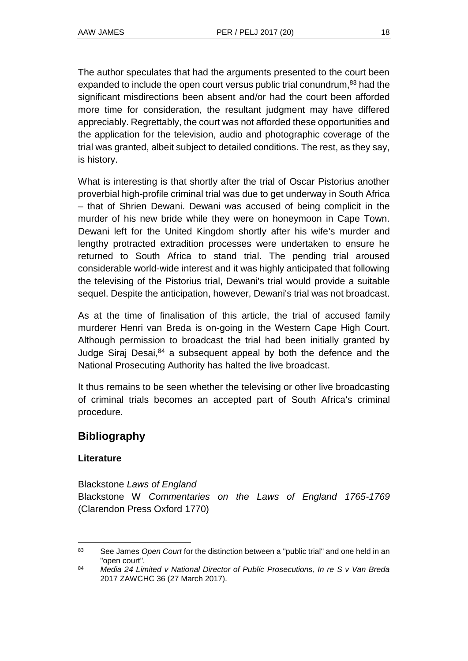The author speculates that had the arguments presented to the court been expanded to include the open court versus public trial conundrum,<sup>83</sup> had the significant misdirections been absent and/or had the court been afforded more time for consideration, the resultant judgment may have differed appreciably. Regrettably, the court was not afforded these opportunities and the application for the television, audio and photographic coverage of the trial was granted, albeit subject to detailed conditions. The rest, as they say, is history.

What is interesting is that shortly after the trial of Oscar Pistorius another proverbial high-profile criminal trial was due to get underway in South Africa – that of Shrien Dewani. Dewani was accused of being complicit in the murder of his new bride while they were on honeymoon in Cape Town. Dewani left for the United Kingdom shortly after his wife's murder and lengthy protracted extradition processes were undertaken to ensure he returned to South Africa to stand trial. The pending trial aroused considerable world-wide interest and it was highly anticipated that following the televising of the Pistorius trial, Dewani's trial would provide a suitable sequel. Despite the anticipation, however, Dewani's trial was not broadcast.

As at the time of finalisation of this article, the trial of accused family murderer Henri van Breda is on-going in the Western Cape High Court. Although permission to broadcast the trial had been initially granted by Judge Siraj Desai, $84$  a subsequent appeal by both the defence and the National Prosecuting Authority has halted the live broadcast.

It thus remains to be seen whether the televising or other live broadcasting of criminal trials becomes an accepted part of South Africa's criminal procedure.

# **Bibliography**

### **Literature**

Blackstone *Laws of England*  Blackstone W *Commentaries on the Laws of England 1765-1769*  (Clarendon Press Oxford 1770)

l <sup>83</sup> See James *Open Court* for the distinction between a "public trial" and one held in an "open court".

<sup>84</sup> *Media 24 Limited v National Director of Public Prosecutions, In re S v Van Breda*  2017 ZAWCHC 36 (27 March 2017).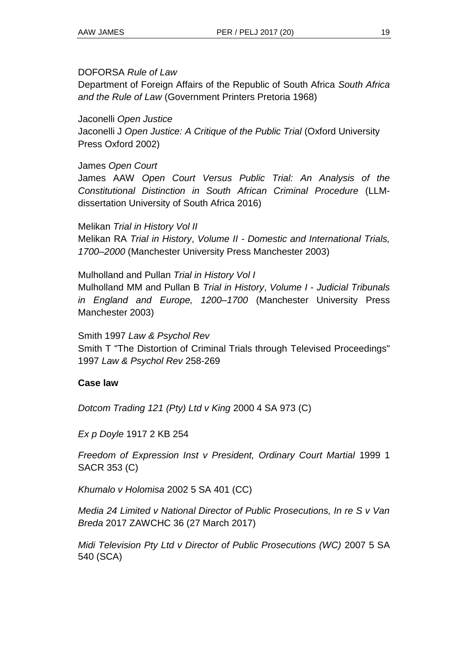### DOFORSA *Rule of Law*

Department of Foreign Affairs of the Republic of South Africa *South Africa and the Rule of Law* (Government Printers Pretoria 1968)

Jaconelli *Open Justice*

Jaconelli J *Open Justice: A Critique of the Public Trial* (Oxford University Press Oxford 2002)

James *Open Court*

James AAW *Open Court Versus Public Trial: An Analysis of the Constitutional Distinction in South African Criminal Procedure* (LLMdissertation University of South Africa 2016)

Melikan *Trial in History Vol II*  Melikan RA *Trial in History*, *Volume II - Domestic and International Trials, 1700–2000* (Manchester University Press Manchester 2003)

Mulholland and Pullan *Trial in History Vol I* Mulholland MM and Pullan B *Trial in History*, *Volume I* - *Judicial Tribunals in England and Europe, 1200–1700* (Manchester University Press Manchester 2003)

Smith 1997 *Law & Psychol Rev* Smith T "The Distortion of Criminal Trials through Televised Proceedings" 1997 *Law & Psychol Rev* 258-269

### **Case law**

*Dotcom Trading 121 (Pty) Ltd v King* 2000 4 SA 973 (C)

*Ex p Doyle* 1917 2 KB 254

*Freedom of Expression Inst v President, Ordinary Court Martial* 1999 1 SACR 353 (C)

*Khumalo v Holomisa* 2002 5 SA 401 (CC)

*Media 24 Limited v National Director of Public Prosecutions, In re S v Van Breda* 2017 ZAWCHC 36 (27 March 2017)

*Midi Television Pty Ltd v Director of Public Prosecutions (WC)* 2007 5 SA 540 (SCA)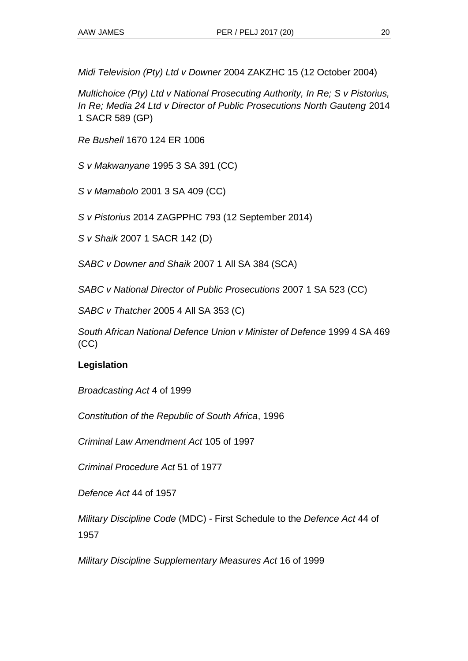*Midi Television (Pty) Ltd v Downer* 2004 ZAKZHC 15 (12 October 2004)

*Multichoice (Pty) Ltd v National Prosecuting Authority, In Re; S v Pistorius, In Re; Media 24 Ltd v Director of Public Prosecutions North Gauteng* 2014 1 SACR 589 (GP)

*Re Bushell* 1670 124 ER 1006

*S v Makwanyane* 1995 3 SA 391 (CC)

*S v Mamabolo* 2001 3 SA 409 (CC)

*S v Pistorius* 2014 ZAGPPHC 793 (12 September 2014)

*S v Shaik* 2007 1 SACR 142 (D)

*SABC v Downer and Shaik* 2007 1 All SA 384 (SCA)

*SABC v National Director of Public Prosecutions* 2007 1 SA 523 (CC)

*SABC v Thatcher* 2005 4 All SA 353 (C)

*South African National Defence Union v Minister of Defence* 1999 4 SA 469 (CC)

### **Legislation**

*Broadcasting Act* 4 of 1999

*Constitution of the Republic of South Africa*, 1996

*Criminal Law Amendment Act* 105 of 1997

*Criminal Procedure Act* 51 of 1977

*Defence Act* 44 of 1957

*Military Discipline Code* (MDC) - First Schedule to the *Defence Act* 44 of 1957

*Military Discipline Supplementary Measures Act* 16 of 1999